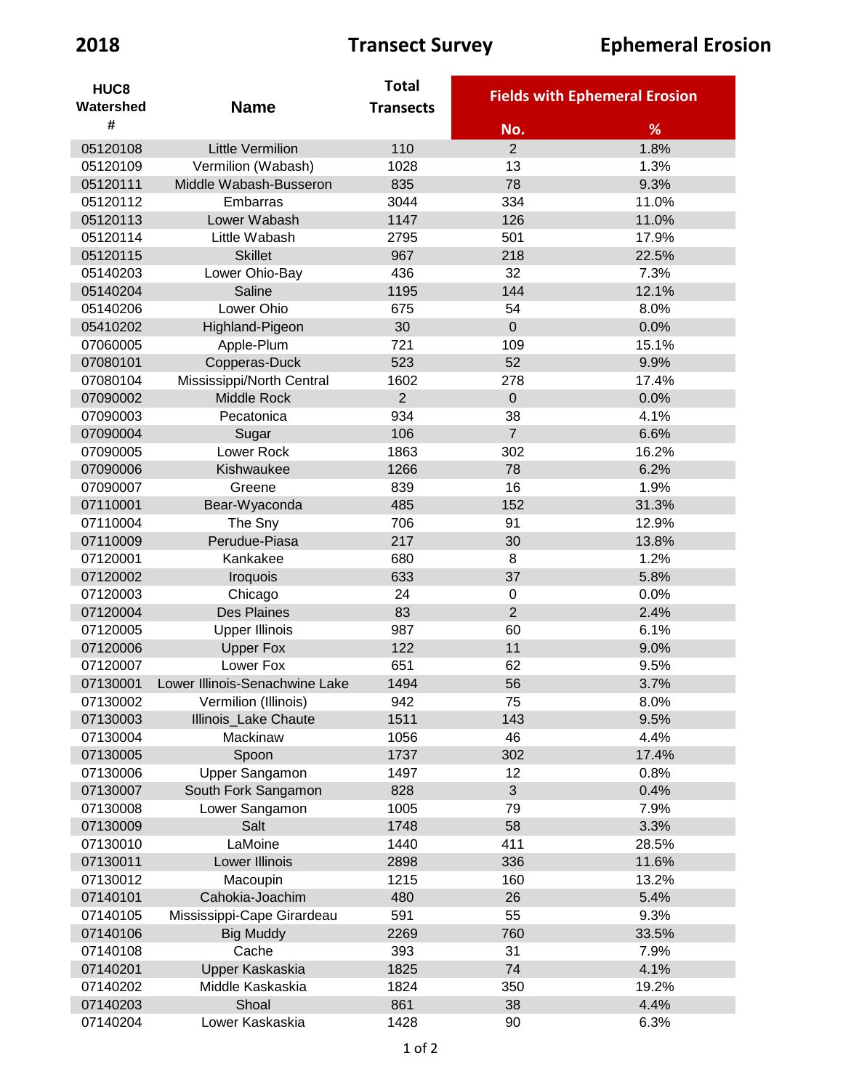| HUC <sub>8</sub> |                                | <b>Total</b>     |                | <b>Fields with Ephemeral Erosion</b> |
|------------------|--------------------------------|------------------|----------------|--------------------------------------|
| Watershed        | <b>Name</b>                    | <b>Transects</b> |                |                                      |
| #                |                                |                  | No.            | %                                    |
| 05120108         | <b>Little Vermilion</b>        | 110              | $\overline{2}$ | 1.8%                                 |
| 05120109         | Vermilion (Wabash)             | 1028             | 13             | 1.3%                                 |
| 05120111         | Middle Wabash-Busseron         | 835              | 78             | 9.3%                                 |
| 05120112         | Embarras                       | 3044             | 334            | 11.0%                                |
| 05120113         | Lower Wabash                   | 1147             | 126            | 11.0%                                |
| 05120114         | Little Wabash                  | 2795             | 501            | 17.9%                                |
| 05120115         | <b>Skillet</b>                 | 967              | 218            | 22.5%                                |
| 05140203         | Lower Ohio-Bay                 | 436              | 32             | 7.3%                                 |
| 05140204         | Saline                         | 1195             | 144            | 12.1%                                |
| 05140206         | Lower Ohio                     | 675              | 54             | 8.0%                                 |
| 05410202         | Highland-Pigeon                | 30               | $\mathbf 0$    | 0.0%                                 |
| 07060005         | Apple-Plum                     | 721              | 109            | 15.1%                                |
| 07080101         | Copperas-Duck                  | 523              | 52             | 9.9%                                 |
| 07080104         | Mississippi/North Central      | 1602             | 278            | 17.4%                                |
| 07090002         | Middle Rock                    | $\overline{2}$   | $\overline{0}$ | 0.0%                                 |
| 07090003         | Pecatonica                     | 934              | 38             | 4.1%                                 |
| 07090004         | Sugar                          | 106              | $\overline{7}$ | 6.6%                                 |
| 07090005         | <b>Lower Rock</b>              | 1863             | 302            | 16.2%                                |
| 07090006         | Kishwaukee                     | 1266             | 78             | 6.2%                                 |
| 07090007         | Greene                         | 839              | 16             | 1.9%                                 |
| 07110001         | Bear-Wyaconda                  | 485              | 152            | 31.3%                                |
| 07110004         | The Sny                        | 706              | 91             | 12.9%                                |
| 07110009         | Perudue-Piasa                  | 217              | 30             | 13.8%                                |
| 07120001         | Kankakee                       | 680              | 8              | 1.2%                                 |
| 07120002         | Iroquois                       | 633              | 37             | 5.8%                                 |
| 07120003         | Chicago                        | 24               | $\mathbf 0$    | 0.0%                                 |
| 07120004         | <b>Des Plaines</b>             | 83               | $\overline{2}$ | 2.4%                                 |
| 07120005         | <b>Upper Illinois</b>          | 987              | 60             | 6.1%                                 |
| 07120006         | <b>Upper Fox</b>               | 122              | 11             | 9.0%                                 |
| 07120007         | Lower Fox                      | 651              | 62             | 9.5%                                 |
| 07130001         | Lower Illinois-Senachwine Lake | 1494             | 56             | 3.7%                                 |
| 07130002         | Vermilion (Illinois)           | 942              | 75             | 8.0%                                 |
| 07130003         | Illinois_Lake Chaute           | 1511             | 143            | 9.5%                                 |
| 07130004         | Mackinaw                       | 1056             | 46             | 4.4%                                 |
| 07130005         | Spoon                          | 1737             | 302            | 17.4%                                |
| 07130006         | Upper Sangamon                 | 1497             | 12             | 0.8%                                 |
| 07130007         | South Fork Sangamon            | 828              | 3              | 0.4%                                 |
| 07130008         | Lower Sangamon                 | 1005             | 79             | 7.9%                                 |
| 07130009         | Salt                           | 1748             | 58             | 3.3%                                 |
| 07130010         | LaMoine                        | 1440             | 411            | 28.5%                                |
| 07130011         | Lower Illinois                 | 2898             | 336            | 11.6%                                |
| 07130012         | Macoupin                       | 1215             | 160            | 13.2%                                |
| 07140101         | Cahokia-Joachim                | 480              | 26             | 5.4%                                 |
| 07140105         | Mississippi-Cape Girardeau     | 591              | 55             | 9.3%                                 |
| 07140106         | <b>Big Muddy</b>               | 2269             | 760            | 33.5%                                |
| 07140108         | Cache                          | 393              | 31             | 7.9%                                 |
| 07140201         | Upper Kaskaskia                | 1825             | 74             | 4.1%                                 |
| 07140202         | Middle Kaskaskia               | 1824             | 350            | 19.2%                                |
| 07140203         | Shoal                          | 861              | 38             | 4.4%                                 |
| 07140204         | Lower Kaskaskia                | 1428             | 90             | 6.3%                                 |